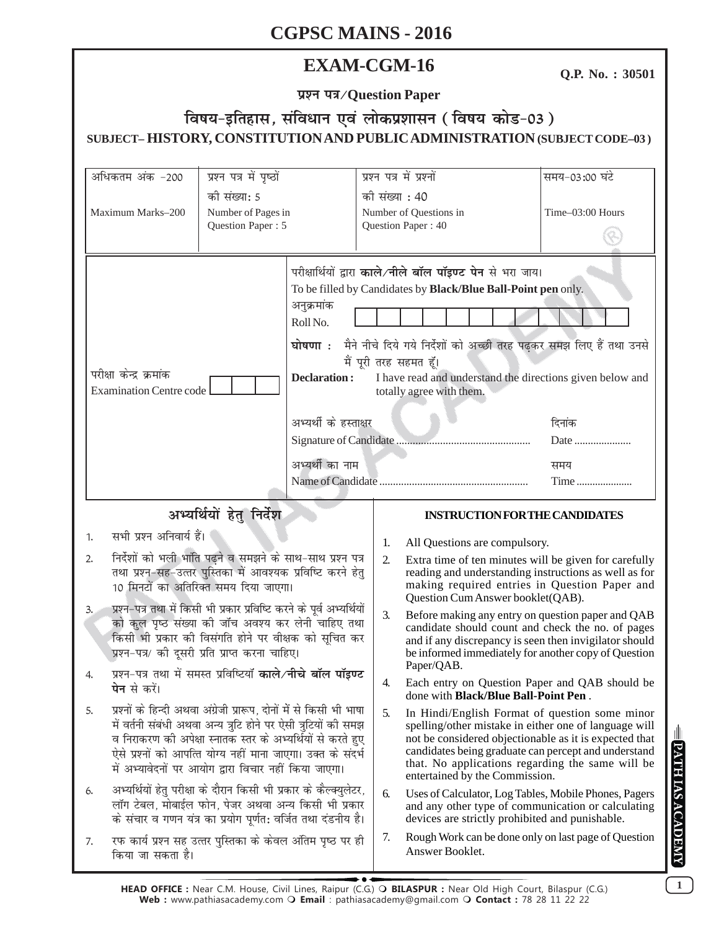## **EXAM-CGM-16**

Q.P. No.: 30501

प्रश्न पत्र/Question Paper

## विषय-इतिहास, संविधान एवं लोकप्रशासन (विषय कोड-03) SUBJECT-HISTORY, CONSTITUTION AND PUBLIC ADMINISTRATION (SUBJECT CODE-03)

| अधिकतम अंक -200                                                                                                                                                                                                                                                                                                                                                                                                             | प्रश्न पत्र में पृष्ठों                                 |                                                                                                                                                                                                                                                                                                                                                                                                                                                              |                                                                | प्रश्न पत्र में प्रश्नों                                                                                                                                                                                                                                                                                        | समय-03:00 घंटे                                                                                                                                                                                                           |  |
|-----------------------------------------------------------------------------------------------------------------------------------------------------------------------------------------------------------------------------------------------------------------------------------------------------------------------------------------------------------------------------------------------------------------------------|---------------------------------------------------------|--------------------------------------------------------------------------------------------------------------------------------------------------------------------------------------------------------------------------------------------------------------------------------------------------------------------------------------------------------------------------------------------------------------------------------------------------------------|----------------------------------------------------------------|-----------------------------------------------------------------------------------------------------------------------------------------------------------------------------------------------------------------------------------------------------------------------------------------------------------------|--------------------------------------------------------------------------------------------------------------------------------------------------------------------------------------------------------------------------|--|
| Maximum Marks-200                                                                                                                                                                                                                                                                                                                                                                                                           | की संख्या: 5<br>Number of Pages in<br>Question Paper: 5 |                                                                                                                                                                                                                                                                                                                                                                                                                                                              | की संख्या : 40<br>Number of Questions in<br>Question Paper: 40 |                                                                                                                                                                                                                                                                                                                 | Time-03:00 Hours                                                                                                                                                                                                         |  |
| परीक्षा केन्द्र क्रमांक<br><b>Examination Centre code</b>                                                                                                                                                                                                                                                                                                                                                                   |                                                         | परीक्षार्थियों द्वारा काले नीले बॉल पॉइण्ट पेन से भरा जाय।<br>To be filled by Candidates by Black/Blue Ball-Point pen only.<br>अनुक्रमांक<br>Roll No.<br>घोषणा : मैने नीचे दिये गये निर्देशों को अच्छी तरह पढ़कर समझ लिए हैं तथा उनसे<br>मैं पूरी तरह सहमत हूँ।<br><b>Declaration:</b><br>I have read and understand the directions given below and<br>totally agree with them.<br>अभ्यर्थी के हस्ताक्षर<br>दिनांक<br>Date<br>अभ्यर्थी का नाम<br>समय<br>Time |                                                                |                                                                                                                                                                                                                                                                                                                 |                                                                                                                                                                                                                          |  |
| अभ्यर्थियों हेतु निर्देश                                                                                                                                                                                                                                                                                                                                                                                                    |                                                         |                                                                                                                                                                                                                                                                                                                                                                                                                                                              |                                                                | <b>INSTRUCTION FOR THE CANDIDATES</b>                                                                                                                                                                                                                                                                           |                                                                                                                                                                                                                          |  |
| सभी प्रश्न अनिवार्य हैं।<br>1.                                                                                                                                                                                                                                                                                                                                                                                              |                                                         |                                                                                                                                                                                                                                                                                                                                                                                                                                                              |                                                                |                                                                                                                                                                                                                                                                                                                 |                                                                                                                                                                                                                          |  |
| निर्देशों को भली भांति पढ़ने व समझने के साथ-साथ प्रश्न पत्र<br>2.<br>तथा प्रश्न-सह-उत्तर पुस्तिका में आवश्यक प्रविष्टि करने हेतु<br>10 मिनटों का अतिरिक्त समय दिया जाएगा।<br>प्रश्न-पत्र तथा में किसी भी प्रकार प्रविष्टि करने के पूर्व अभ्यर्थियों<br>3.<br>को कुल पृष्ठ संख्या की जाँच अवश्य कर लेनी चाहिए तथा<br>किसी भी प्रकार की विसंगति होने पर वीक्षक को सूचित कर<br>प्रश्न-पत्र/ की दूसरी प्रति प्राप्त करना चाहिए। |                                                         |                                                                                                                                                                                                                                                                                                                                                                                                                                                              | 1.<br>2.                                                       | All Questions are compulsory.<br>Extra time of ten minutes will be given for carefully<br>reading and understanding instructions as well as for<br>making required entries in Question Paper and<br>Question Cum Answer booklet(QAB).                                                                           |                                                                                                                                                                                                                          |  |
|                                                                                                                                                                                                                                                                                                                                                                                                                             |                                                         |                                                                                                                                                                                                                                                                                                                                                                                                                                                              | 3.                                                             |                                                                                                                                                                                                                                                                                                                 | Before making any entry on question paper and QAB<br>candidate should count and check the no. of pages<br>and if any discrepancy is seen then invigilator should<br>be informed immediately for another copy of Question |  |
| प्रश्न-पत्र तथा में समस्त प्रविष्टियाँ <b>काले/नीचे बॉल पॉइण्ट</b><br><b>पेन</b> से करें।                                                                                                                                                                                                                                                                                                                                   |                                                         |                                                                                                                                                                                                                                                                                                                                                                                                                                                              | 4.                                                             | Paper/QAB.<br>done with <b>Black/Blue Ball-Point Pen</b> .                                                                                                                                                                                                                                                      | Each entry on Question Paper and QAB should be                                                                                                                                                                           |  |
| प्रश्नों के हिन्दी अथवा अंग्रेजी प्रारूप, दोनों में से किसी भी भाषा<br>5.<br>में वर्तनी संबंधी अथवा अन्य त्रुटि होने पर ऐसी त्रुटियों की समझ<br>व निराकरण की अपेक्षा स्नातक स्तर के अभ्यर्थियों से करते हुए<br>ऐसे प्रश्नों को आपत्ति योग्य नहीं माना जाएगा। उक्त के संदर्भ<br>में अभ्यावेदनों पर आयोग द्वारा विचार नहीं किया जाएगा।                                                                                        |                                                         |                                                                                                                                                                                                                                                                                                                                                                                                                                                              | 5.                                                             | In Hindi/English Format of question some minor<br>spelling/other mistake in either one of language will<br>not be considered objectionable as it is expected that<br>candidates being graduate can percept and understand<br>that. No applications regarding the same will be<br>entertained by the Commission. |                                                                                                                                                                                                                          |  |
| अभ्यर्थियों हेतु परीक्षा के दौरान किसी भी प्रकार के कैल्क्युलेटर,<br>6.<br>लॉग टेबल, मोबाईल फोन, पेजर अथवा अन्य किसी भी प्रकार<br>के संचार व गणन यंत्र का प्रयोग पूर्णत: वर्जित तथा दंडनीय है।                                                                                                                                                                                                                              |                                                         |                                                                                                                                                                                                                                                                                                                                                                                                                                                              | 6.                                                             | Uses of Calculator, Log Tables, Mobile Phones, Pagers<br>and any other type of communication or calculating<br>devices are strictly prohibited and punishable.                                                                                                                                                  |                                                                                                                                                                                                                          |  |
| रफ कार्य प्रश्न सह उत्तर पुस्तिका के केवल अंतिम पृष्ठ पर ही<br>7.<br>किया जा सकता है।                                                                                                                                                                                                                                                                                                                                       |                                                         |                                                                                                                                                                                                                                                                                                                                                                                                                                                              | 7.                                                             | Answer Booklet.                                                                                                                                                                                                                                                                                                 | Rough Work can be done only on last page of Question                                                                                                                                                                     |  |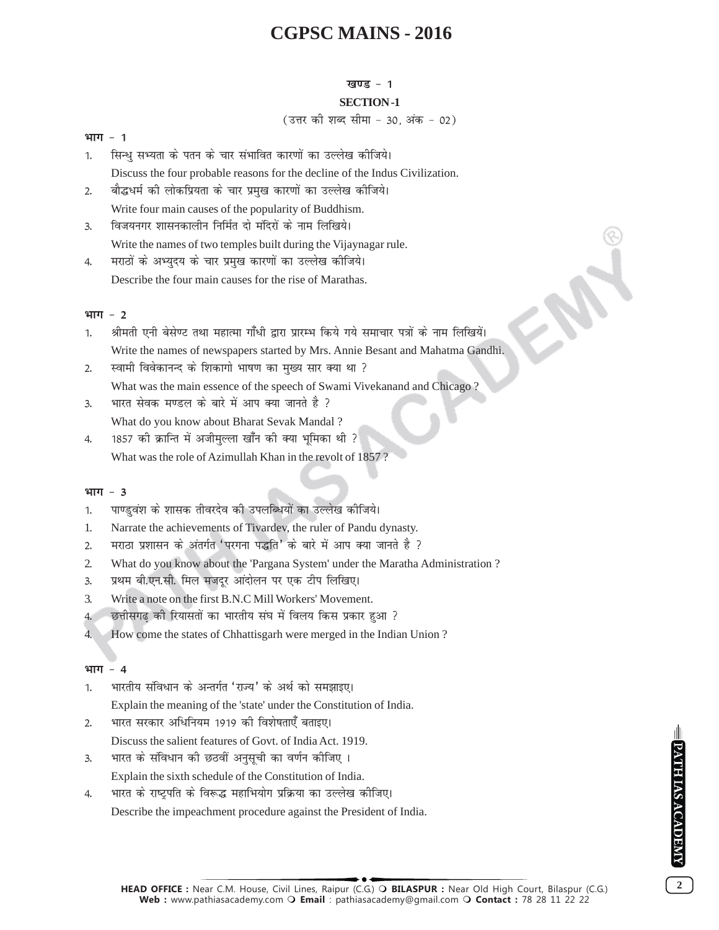#### **खण्ड** - 1

#### **SECTION -1**

#### (उत्तर की शब्द सीमा - 30, अंक - 02)

#### **भाग - 1**

- 1. सिन्धु सभ्यता के पतन के चार संभावित कारणों का उल्लेख कीजिये। Discuss the four probable reasons for the decline of the Indus Civilization.
- 2. वौद्धधर्म की लोकप्रियता के चार प्रमुख कारणों का उल्लेख कीजिये। Write four main causes of the popularity of Buddhism.
- 3. विजयनगर शासनकालीन निर्मित दो मंदिरों के नाम लिखिये। Write the names of two temples built during the Vijaynagar rule.
- 4. मराठों के अभ्यदय के चार प्रमख कारणों का उल्लेख कीजिये। Describe the four main causes for the rise of Marathas.

#### <u>भाग - 2</u>

- 1. श्रीमती एनी बेसेण्ट तथा महात्मा गाँधी द्वारा प्रारम्भ किये गये समाचार पत्रों के नाम लिखियें। Write the names of newspapers started by Mrs. Annie Besant and Mahatma Gandhi.
- 2. स्वामी विवेकानन्द के शिकागो भाषण का मुख्य सार क्या था ? What was the main essence of the speech of Swami Vivekanand and Chicago ?
- 3. भारत सेवक मण्डल के बारे में आप क्या जानते है ? What do you know about Bharat Sevak Mandal ?
- 4. 1857 की क्रान्ति में अजीमुल्ला खाँन की क्या भूमिका थी ? What was the role of Azimullah Khan in the revolt of 1857 ?

#### भाग - 3

- 1. पाण्डुवंश के शासक तीवरदेव की उपलब्धियों का उल्लेख कीजिये।
- 1. Narrate the achievements of Tivardev, the ruler of Pandu dynasty.
- 2. मराठा प्रशासन के अंतर्गत 'परगना पद्धति' के बारे में आप क्या जानते है ?
- 2. What do you know about the 'Pargana System' under the Maratha Administration ?
- 3. प्रथम बी.एन.सी. मिल मजदर आंदोलन पर एक टीप लिखिए।
- 3. Write a note on the first B.N.C Mill Workers' Movement.
- 4. छत्तीसगढ की रियासतों का भारतीय संघ में विलय किस प्रकार हुआ ?
- 4. How come the states of Chhattisgarh were merged in the Indian Union ?

#### भाग - 4

- 1. भारतीय संविधान के अन्तर्गत 'राज्य' के अर्थ को समझाइए। Explain the meaning of the 'state' under the Constitution of India.
- 2. भारत सरकार अधिनियम 1919 की विशेषताएँ बताइए। Discuss the salient features of Govt. of India Act. 1919.
- 3. भारत के संविधान की छठवीं अनुसूची का वर्णन कीजिए ।

Explain the sixth schedule of the Constitution of India.

4. भारत के राष्ट्रपति के विरूद्ध महाभियोग प्रक्रिया का उल्लेख कीजिए। Describe the impeachment procedure against the President of India.

PATH IAS ACADEMY

**HEAD OFFICE :** Near C.M. House, Civil Lines, Raipur (C.G.) **BILASPUR :** Near Old High Court, Bilaspur (C.G.) **Web :** www.pathiasacademy.com **Email** : pathiasacademy@gmail.com **Contact :** 78 28 11 22 22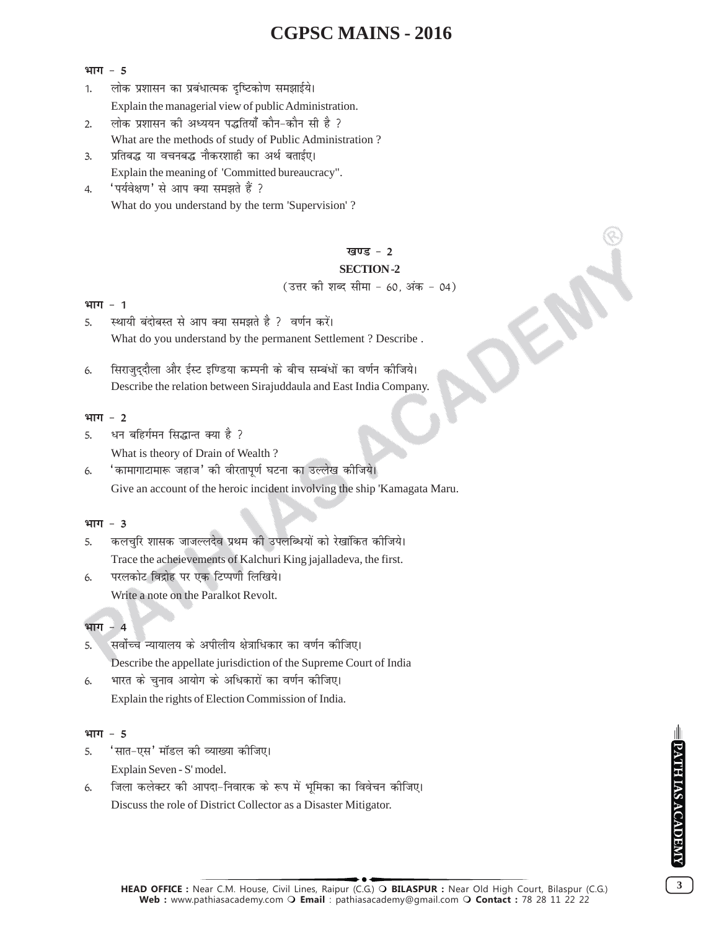#### भाग - 5

- 1. लोक प्रशासन का प्रबंधात्मक दृष्टिकोण समझाईये। Explain the managerial view of public Administration.
- 2. लोक प्रशासन की अध्ययन पद्धतियाँ कौन-कौन सी है ? What are the methods of study of Public Administration ?
- 3. प्रतिबद्ध या वचनबद्ध नौकरशाही का अर्थ बताईए। Explain the meaning of 'Committed bureaucracy".
- 4. 'पर्यवेक्षण' से आप क्या समझते हैं ? What do you understand by the term 'Supervision' ?

#### **खण्ड - 2**

#### **SECTION -2**

(उत्तर को शब्द सीमा - 60, अंक - 04)

#### **भाग - 1**

- 5. रथायी बंदोबस्त से आप क्या समझते है ? वर्णन करें। What do you understand by the permanent Settlement ? Describe .
- 6. सिराजुद्दौला और ईस्ट इण्डिया कम्पनी के बीच सम्बंधों का वर्णन कीजिये। Describe the relation between Sirajuddaula and East India Company.

#### भाग - 2

- 5. धन बहिर्गमन सिद्धान्त क्या है ? What is theory of Drain of Wealth ?
- 6. ' कामागाटामारू जहाज' की वीरतापूर्ण घटना का उल्लेख कीजिये। Give an account of the heroic incident involving the ship 'Kamagata Maru.

#### **भाग - 3**

- 5. कलचुरि शासक जाजल्लदेव प्रथम की उपलब्धियों को रेखांकित कीजिये। Trace the acheievements of Kalchuri King jajalladeva, the first.
- 6. परलकोट विद्रोह पर एक टिप्पणी लिखिये। Write a note on the Paralkot Revolt.

#### भाग - 4

- 5. सर्वोच्च न्यायालय के अपीलीय क्षेत्राधिकार का वर्णन कीजिए। Describe the appellate jurisdiction of the Supreme Court of India
- 6. भारत के चुनाव आयोग के अधिकारों का वर्णन कीजिए। Explain the rights of Election Commission of India.

#### भाग - 5

- 5. 'सात-एस' मॉडल की व्याख्या कीजिए। Explain Seven - S' model.
- 6. जिला कलेक्टर की आपदा-निवारक के रूप में भूमिका का विवेचन कीजिए। Discuss the role of District Collector as a Disaster Mitigator.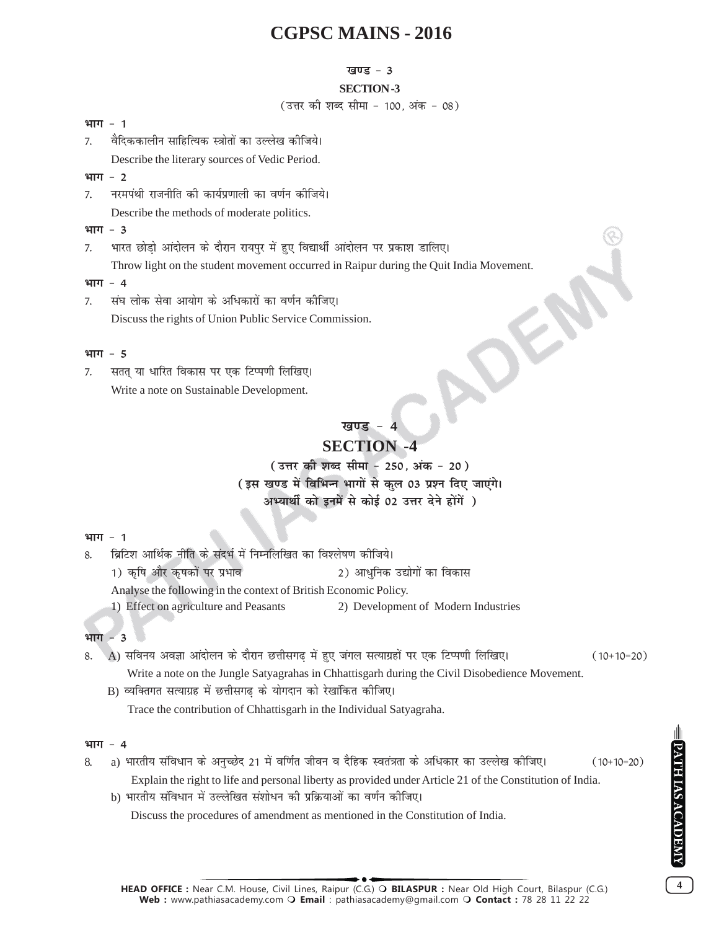#### **खण्ड - 3**

#### **SECTION -3**

(उत्तर को शब्द सीमा - 100. अंक - 08)

#### **भाग - 1**

7. वैदिककालीन साहित्यिक स्त्रोतों का उल्लेख कीजिये। Describe the literary sources of Vedic Period.

#### **भाग - 2**

- 7. नरमपंथी राजनीति की कार्यप्रणाली का वर्णन कीजिये। Describe the methods of moderate politics.
- **भाग 3**
- 7. भारत छोडो आंदोलन के दौरान रायपुर में हुए विद्यार्थी आंदोलन पर प्रकाश डालिए। Throw light on the student movement occurred in Raipur during the Quit India Movement.

#### **भाग - 4**

7. संघ लोक सेवा आयोग के अधिकारों का वर्णन कीजिए। Discuss the rights of Union Public Service Commission.

#### **भाग - 5**

7. सतत् या धारित विकास पर एक टिप्पणी लिखिए। Write a note on Sustainable Development.

# खण्ड -

OE

## **SECTION -4**

( उत्तर की शब्द सीमा - 250, अंक - 20) (इस खण्ड में विभिन्न भागों से कुल 03 प्रश्न दिए जाएंगे। अभ्यार्थी को इनमें से कोई 02 उत्तर देने होंगें)

#### **भाग - 1**

8. ब्रिटिश आर्थिक नीति के संदर्भ में निम्नलिखित का विश्लेषण कोजिये। 1) d`f"k vkSj d`"kdksa ij izHkko 2) vk/qfud m|ksxksa dk fodkl Analyse the following in the context of British Economic Policy. 1) Effect on agriculture and Peasants 2) Development of Modern Industries

#### भाग - 3

- 8. A) सविनय अवज्ञा आंदोलन के दौरान छत्तीसगढ में हुए जंगल सत्याग्रहों पर एक टिप्पणी लिखिए। (10+10=20) Write a note on the Jungle Satyagrahas in Chhattisgarh during the Civil Disobedience Movement.
	- B) व्यक्तिगत सत्याग्रह में छत्तीसगढ के योगदान को रेखांकित कीजिए।

Trace the contribution of Chhattisgarh in the Individual Satyagraha.

#### **भाग - 4**

- 8. a) भारतीय संविधान के अनुच्छेद 21 में वर्णित जीवन व दैहिक स्वतंत्रता के अधिकार का उल्लेख कीजिए। (10+10=20) Explain the right to life and personal liberty as provided under Article 21 of the Constitution of India.
	- b) भारतीय संविधान में उल्लेखित संशोधन की प्रक्रियाओं का वर्णन कीजिए।

Discuss the procedures of amendment as mentioned in the Constitution of India.